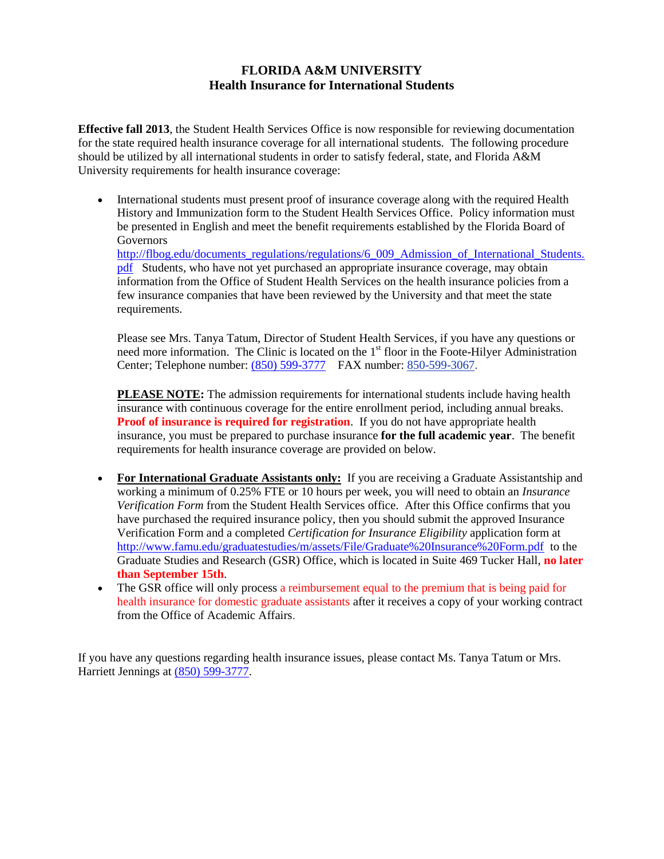## **FLORIDA A&M UNIVERSITY Health Insurance for International Students**

**Effective fall 2013**, the Student Health Services Office is now responsible for reviewing documentation for the state required health insurance coverage for all international students. The following procedure should be utilized by all international students in order to satisfy federal, state, and Florida A&M University requirements for health insurance coverage:

 International students must present proof of insurance coverage along with the required Health History and Immunization form to the Student Health Services Office. Policy information must be presented in English and meet the benefit requirements established by the Florida Board of Governors [http://flbog.edu/documents\\_regulations/regulations/6\\_009\\_Admission\\_of\\_International\\_Students.](http://flbog.edu/documents_regulations/regulations/6_009_Admission_of_International_Students.pdf) [pdf](http://flbog.edu/documents_regulations/regulations/6_009_Admission_of_International_Students.pdf) Students, who have not yet purchased an appropriate insurance coverage, may obtain information from the Office of Student Health Services on the health insurance policies from a few insurance companies that have been reviewed by the University and that meet the state

requirements.

Please see Mrs. Tanya Tatum, Director of Student Health Services, if you have any questions or need more information. The Clinic is located on the 1<sup>st</sup> floor in the Foote-Hilyer Administration Center; Telephone number[: \(850\) 599-3777](tel:%28850%29%20599-3777) FAX number: 850-599-3067.

**PLEASE NOTE:** The admission requirements for international students include having health insurance with continuous coverage for the entire enrollment period, including annual breaks. **Proof of insurance is required for registration**. If you do not have appropriate health insurance, you must be prepared to purchase insurance **for the full academic year**. The benefit requirements for health insurance coverage are provided on below.

- **For International Graduate Assistants only:** If you are receiving a Graduate Assistantship and working a minimum of 0.25% FTE or 10 hours per week, you will need to obtain an *Insurance Verification Form* from the Student Health Services office. After this Office confirms that you have purchased the required insurance policy, then you should submit the approved Insurance Verification Form and a completed *Certification for Insurance Eligibility* application form at <http://www.famu.edu/graduatestudies/m/assets/File/Graduate%20Insurance%20Form.pdf> to the Graduate Studies and Research (GSR) Office, which is located in Suite 469 Tucker Hall, **no later than September 15th**.
- The GSR office will only process a reimbursement equal to the premium that is being paid for health insurance for domestic graduate assistants after it receives a copy of your working contract from the Office of Academic Affairs.

If you have any questions regarding health insurance issues, please contact Ms. Tanya Tatum or Mrs. Harriett Jennings at [\(850\) 599-3777.](tel:%28850%29%20599-3777)